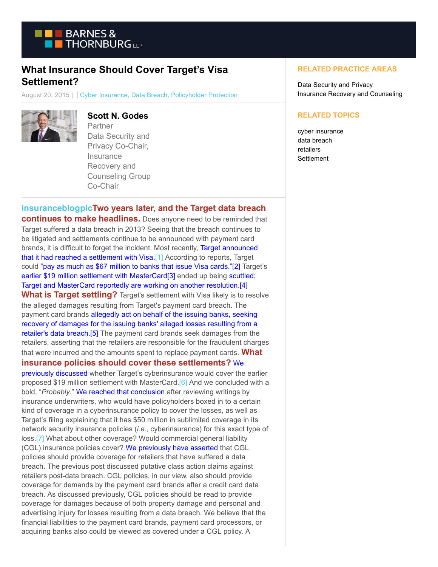

# **What Insurance Should Cover Target's Visa Settlement?**

August 20, 2015 | Cyber Insurance, Data Breach, Policyholder Protection



## **Scott N. Godes**

Partner Data Security and Privacy Co-Chair, **Insurance** Recovery and Counseling Group Co-Chair

## **[insuranceblogpicT](https://www.btpolicyholderprotection.com/wp-content/uploads/2015/08/insuranceblogpic.png)wo years later, and the Target data breach**

**continues to make headlines.** Does anyone need to be reminded that Target suffered a data breach in 2013? Seeing that the breach continues to be litigated and settlements continue to be announced with payment card brands, it is difficult to forget the incident. Most recently, [Target announced](http://www.bloomberg.com/news/articles/2015-08-18/target-says-it-has-reached-settlement-with-visa-over-data-breach) that it had reached a settlement with Visa[.\[1\] A](https://btlaw.com/en/insights/blogs/policyholder-protection/2015/what-insurance-should-cover-targets-visa-settlement?p=1#_ftn1)ccording to reports, Target could ["pay as much as \\$67 million to banks that issue Visa cards."\[](http://www.bloomberg.com/news/articles/2015-08-18/target-says-it-has-reached-settlement-with-visa-over-data-breach)[2\] T](https://btlaw.com/en/insights/blogs/policyholder-protection/2015/what-insurance-should-cover-targets-visa-settlement?p=1#_ftn2)arget's [earlier \\$19 million settlement with MasterCard\[](https://www.btpolicyholderprotection.com/will-insurance-cover-targets-19-million-mastercard-settlement/)[3\] e](https://btlaw.com/en/insights/blogs/policyholder-protection/2015/what-insurance-should-cover-targets-visa-settlement?p=1#_ftn3)nded up being [scuttled;](http://www.wsj.com/articles/target-reaches-settlement-with-visa-over-2013-data-breach-1439912013) Target and MasterCard reportedly are working on another resolution[.\[4\]](https://btlaw.com/en/insights/blogs/policyholder-protection/2015/what-insurance-should-cover-targets-visa-settlement?p=1#_ftn4) **What is Target settling?** Target's settlement with Visa likely is to resolve the alleged damages resulting from Target's payment card breach. The payment card brands [allegedly act on behalf of the issuing banks, seeking](http://www.mastercard.com/us/merchant/pdf/SPME-Entire_Manual_public.pdf) recovery of damages for the issuing banks' alleged losses resulting from a retailer's data breach[.\[5\]](https://btlaw.com/en/insights/blogs/policyholder-protection/2015/what-insurance-should-cover-targets-visa-settlement?p=1#_ftn5) The payment card brands seek damages from the retailers, asserting that the retailers are responsible for the fraudulent charges that were incurred and the amounts spent to replace payment cards. **What insurance policies should cover these settlements?** [We](https://www.btpolicyholderprotection.com/will-insurance-cover-targets-19-million-mastercard-settlement/)

previously discussed whether Target's cyberinsurance would cover the earlier proposed \$19 million settlement with MasterCard.<sup>[6]</sup> And we concluded with a bold, "*Probably*." [We reached that conclusion](https://www.btpolicyholderprotection.com/will-insurance-cover-targets-19-million-mastercard-settlement/) after reviewing writings by insurance underwriters, who would have policyholders boxed in to a certain kind of coverage in a cyberinsurance policy to cover the losses, as well as Target's filing explaining that it has \$50 million in sublimited coverage in its network security insurance policies (*i.e.*, cyberinsurance) for this exact type of loss[.\[7\] W](https://btlaw.com/en/insights/blogs/policyholder-protection/2015/what-insurance-should-cover-targets-visa-settlement?p=1#_ftn7)hat about other coverage? Would commercial general liability (CGL) insurance policies cover? [We previously have asserted t](https://www.btpolicyholderprotection.com/should-retailers-rely-on-cgl-coverage-for-data-breaches/)hat CGL policies should provide coverage for retailers that have suffered a data breach. The previous post discussed putative class action claims against retailers post-data breach. CGL policies, in our view, also should provide coverage for demands by the payment card brands after a credit card data breach. As discussed previously, CGL policies should be read to provide coverage for damages because of both property damage and personal and advertising injury for losses resulting from a data breach. We believe that the financial liabilities to the payment card brands, payment card processors, or acquiring banks also could be viewed as covered under a CGL policy. A

#### **RELATED PRACTICE AREAS**

Data Security and Privacy Insurance Recovery and Counseling

#### **RELATED TOPICS**

cyber insurance data breach retailers **Settlement**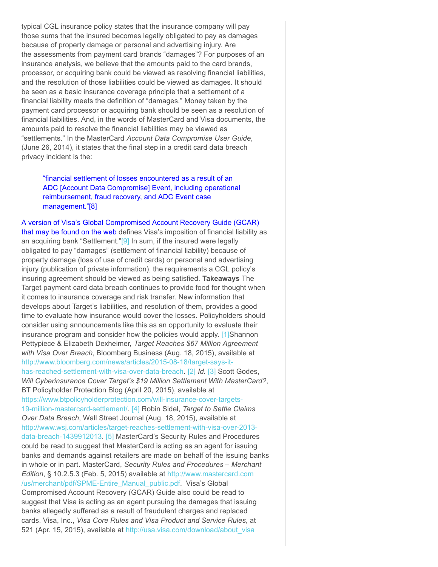typical CGL insurance policy states that the insurance company will pay those sums that the insured becomes legally obligated to pay as damages because of property damage or personal and advertising injury. Are the assessments from payment card brands "damages"? For purposes of an insurance analysis, we believe that the amounts paid to the card brands, processor, or acquiring bank could be viewed as resolving financial liabilities, and the resolution of those liabilities could be viewed as damages. It should be seen as a basic insurance coverage principle that a settlement of a financial liability meets the definition of "damages." Money taken by the payment card processor or acquiring bank should be seen as a resolution of financial liabilities. And, in the words of MasterCard and Visa documents, the amounts paid to resolve the financial liabilities may be viewed as "settlements." In the MasterCard *Account Data Compromise User Guide*, (June 26, 2014), it states that the final step in a credit card data breach privacy incident is the:

["financial settlement of losses encountered as a result of an](http://www.mastercard.com/us/merchant/pdf/Account_Data_Compromise_User_Guide.pdf) ADC [Account Data Compromise] Event, including operational reimbursement, fraud recovery, and ADC Event case management.["\[8\]](https://btlaw.com/en/insights/blogs/policyholder-protection/2015/what-insurance-should-cover-targets-visa-settlement?p=1#_ftn8)

[A version of Visa's Global Compromised Account Recovery Guide \(GCAR\)](https://www.icba.org/files/Bancard/PDFs/GlobalCompromiseAccountRecoveryGuide01142015.pdf) that may be found on the web defines Visa's imposition of financial liability as an acquiring bank "Settlement."<sup>[9]</sup> In sum, if the insured were legally obligated to pay "damages" (settlement of financial liability) because of property damage (loss of use of credit cards) or personal and advertising injury (publication of private information), the requirements a CGL policy's insuring agreement should be viewed as being satisfied. **Takeaways** The Target payment card data breach continues to provide food for thought when it comes to insurance coverage and risk transfer. New information that develops about Target's liabilities, and resolution of them, provides a good time to evaluate how insurance would cover the losses. Policyholders should consider using announcements like this as an opportunity to evaluate their insurance program and consider how the policies would apply. [\[1\]S](https://btlaw.com/en/insights/blogs/policyholder-protection/2015/what-insurance-should-cover-targets-visa-settlement?p=1#_ftnref1)hannon Pettypiece & Elizabeth Dexheimer, *Target Reaches \$67 Million Agreement with Visa Over Breach*, Bloomberg Business (Aug. 18, 2015), available at [http://www.bloomberg.com/news/articles/2015-08-18/target-says-it](http://www.bloomberg.com/news/articles/2015-08-18/target-says-it-has-reached-settlement-with-visa-over-data-breach)has-reached-settlement-with-visa-over-data-breach. [\[2\]](https://btlaw.com/en/insights/blogs/policyholder-protection/2015/what-insurance-should-cover-targets-visa-settlement?p=1#_ftnref2) *Id.* [\[3\] S](https://btlaw.com/en/insights/blogs/policyholder-protection/2015/what-insurance-should-cover-targets-visa-settlement?p=1#_ftnref3)cott Godes, *Will Cyberinsurance Cover Target's \$19 Million Settlement With MasterCard?*, BT Policyholder Protection Blog (April 20, 2015), available at [https://www.btpolicyholderprotection.com/will-insurance-cover-targets-](https://www.btpolicyholderprotection.com/will-insurance-cover-targets-19-million-mastercard-settlement/)19-million-mastercard-settlement/. [\[4\]](https://btlaw.com/en/insights/blogs/policyholder-protection/2015/what-insurance-should-cover-targets-visa-settlement?p=1#_ftnref4) Robin Sidel, *Target to Settle Claims Over Data Breach*, Wall Street Journal (Aug. 18, 2015), available at [http://www.wsj.com/articles/target-reaches-settlement-with-visa-over-2013](http://www.wsj.com/articles/target-reaches-settlement-with-visa-over-2013-data-breach-1439912013) data-breach-1439912013. [\[5\]](https://btlaw.com/en/insights/blogs/policyholder-protection/2015/what-insurance-should-cover-targets-visa-settlement?p=1#_ftnref5) MasterCard's Security Rules and Procedures could be read to suggest that MasterCard is acting as an agent for issuing banks and demands against retailers are made on behalf of the issuing banks in whole or in part. MasterCard, *Security Rules and Procedures – Merchant Edition*, § 10.2.5.3 (Feb. 5, 2015) available at [http://www.mastercard.com](http://www.mastercard.com/us/merchant/pdf/SPME-Entire_Manual_public.pdf) /us/merchant/pdf/SPME-Entire Manual public.pdf. Visa's Global Compromised Account Recovery (GCAR) Guide also could be read to suggest that Visa is acting as an agent pursuing the damages that issuing banks allegedly suffered as a result of fraudulent charges and replaced cards. Visa, Inc., *Visa Core Rules and Visa Product and Service Rules*, at 521 (Apr. 15, 2015), available at [http://usa.visa.com/download/about\\_visa](http://usa.visa.com/download/about_visa/15-April-2015-Visa-Rules-Public.pdf)